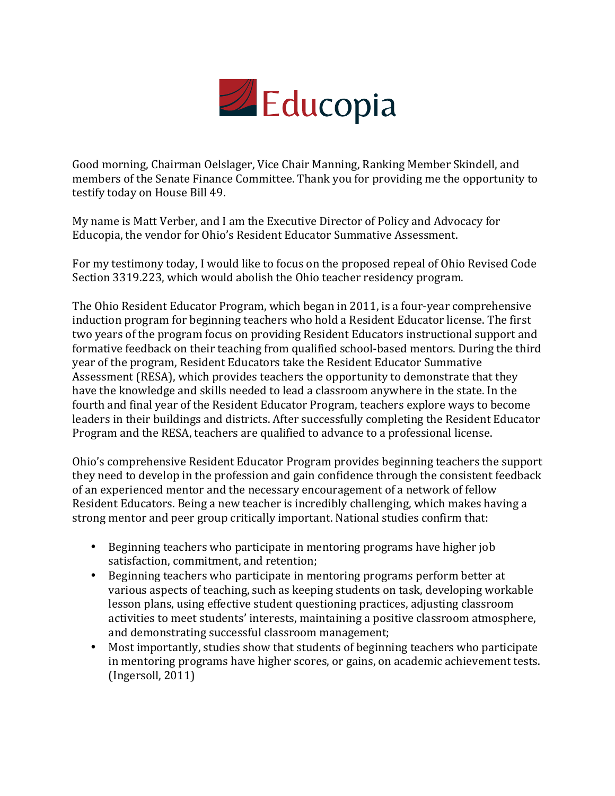

Good morning, Chairman Oelslager, Vice Chair Manning, Ranking Member Skindell, and members of the Senate Finance Committee. Thank you for providing me the opportunity to testify today on House Bill 49.

My name is Matt Verber, and I am the Executive Director of Policy and Advocacy for Educopia, the vendor for Ohio's Resident Educator Summative Assessment.

For my testimony today, I would like to focus on the proposed repeal of Ohio Revised Code Section 3319.223, which would abolish the Ohio teacher residency program.

The Ohio Resident Educator Program, which began in 2011, is a four-year comprehensive induction program for beginning teachers who hold a Resident Educator license. The first two years of the program focus on providing Resident Educators instructional support and formative feedback on their teaching from qualified school-based mentors. During the third year of the program, Resident Educators take the Resident Educator Summative Assessment (RESA), which provides teachers the opportunity to demonstrate that they have the knowledge and skills needed to lead a classroom anywhere in the state. In the fourth and final year of the Resident Educator Program, teachers explore ways to become leaders in their buildings and districts. After successfully completing the Resident Educator Program and the RESA, teachers are qualified to advance to a professional license.

Ohio's comprehensive Resident Educator Program provides beginning teachers the support they need to develop in the profession and gain confidence through the consistent feedback of an experienced mentor and the necessary encouragement of a network of fellow Resident Educators. Being a new teacher is incredibly challenging, which makes having a strong mentor and peer group critically important. National studies confirm that:

- Beginning teachers who participate in mentoring programs have higher job satisfaction, commitment, and retention;
- Beginning teachers who participate in mentoring programs perform better at various aspects of teaching, such as keeping students on task, developing workable lesson plans, using effective student questioning practices, adjusting classroom activities to meet students' interests, maintaining a positive classroom atmosphere, and demonstrating successful classroom management;
- Most importantly, studies show that students of beginning teachers who participate in mentoring programs have higher scores, or gains, on academic achievement tests.  $(Ingersoll, 2011)$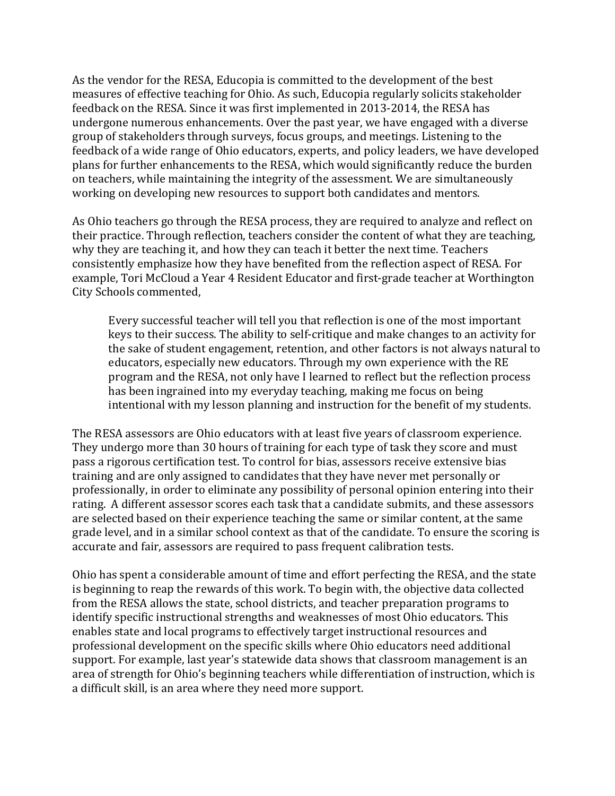As the vendor for the RESA, Educopia is committed to the development of the best measures of effective teaching for Ohio. As such, Educopia regularly solicits stakeholder feedback on the RESA. Since it was first implemented in 2013-2014, the RESA has undergone numerous enhancements. Over the past year, we have engaged with a diverse group of stakeholders through surveys, focus groups, and meetings. Listening to the feedback of a wide range of Ohio educators, experts, and policy leaders, we have developed plans for further enhancements to the RESA, which would significantly reduce the burden on teachers, while maintaining the integrity of the assessment. We are simultaneously working on developing new resources to support both candidates and mentors.

As Ohio teachers go through the RESA process, they are required to analyze and reflect on their practice. Through reflection, teachers consider the content of what they are teaching. why they are teaching it, and how they can teach it better the next time. Teachers consistently emphasize how they have benefited from the reflection aspect of RESA. For example, Tori McCloud a Year 4 Resident Educator and first-grade teacher at Worthington City Schools commented,

Every successful teacher will tell you that reflection is one of the most important keys to their success. The ability to self-critique and make changes to an activity for the sake of student engagement, retention, and other factors is not always natural to educators, especially new educators. Through my own experience with the RE program and the RESA, not only have I learned to reflect but the reflection process has been ingrained into my everyday teaching, making me focus on being intentional with my lesson planning and instruction for the benefit of my students.

The RESA assessors are Ohio educators with at least five years of classroom experience. They undergo more than 30 hours of training for each type of task they score and must pass a rigorous certification test. To control for bias, assessors receive extensive bias training and are only assigned to candidates that they have never met personally or professionally, in order to eliminate any possibility of personal opinion entering into their rating. A different assessor scores each task that a candidate submits, and these assessors are selected based on their experience teaching the same or similar content, at the same grade level, and in a similar school context as that of the candidate. To ensure the scoring is accurate and fair, assessors are required to pass frequent calibration tests.

Ohio has spent a considerable amount of time and effort perfecting the RESA, and the state is beginning to reap the rewards of this work. To begin with, the objective data collected from the RESA allows the state, school districts, and teacher preparation programs to identify specific instructional strengths and weaknesses of most Ohio educators. This enables state and local programs to effectively target instructional resources and professional development on the specific skills where Ohio educators need additional support. For example, last year's statewide data shows that classroom management is an area of strength for Ohio's beginning teachers while differentiation of instruction, which is a difficult skill, is an area where they need more support.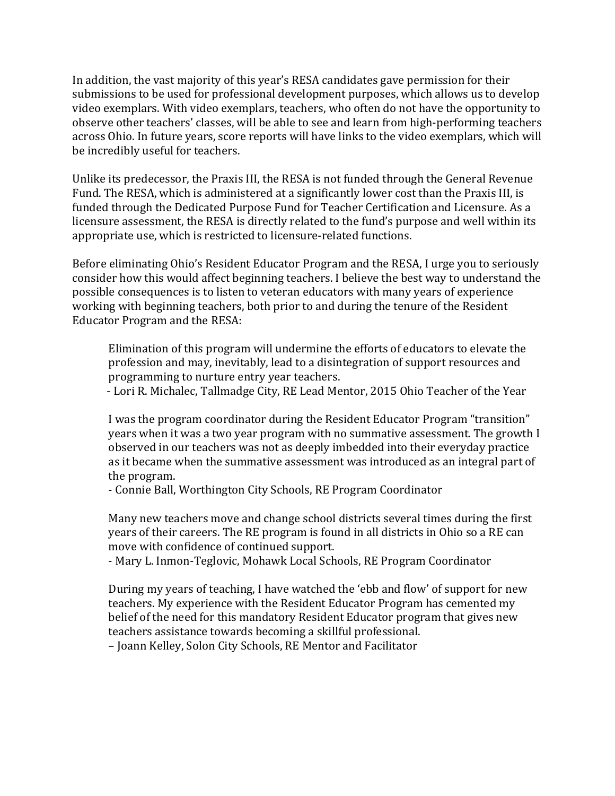In addition, the vast majority of this year's RESA candidates gave permission for their submissions to be used for professional development purposes, which allows us to develop video exemplars. With video exemplars, teachers, who often do not have the opportunity to observe other teachers' classes, will be able to see and learn from high-performing teachers across Ohio. In future years, score reports will have links to the video exemplars, which will be incredibly useful for teachers.

Unlike its predecessor, the Praxis III, the RESA is not funded through the General Revenue Fund. The RESA, which is administered at a significantly lower cost than the Praxis III, is funded through the Dedicated Purpose Fund for Teacher Certification and Licensure. As a licensure assessment, the RESA is directly related to the fund's purpose and well within its appropriate use, which is restricted to licensure-related functions.

Before eliminating Ohio's Resident Educator Program and the RESA, I urge you to seriously consider how this would affect beginning teachers. I believe the best way to understand the possible consequences is to listen to veteran educators with many years of experience working with beginning teachers, both prior to and during the tenure of the Resident Educator Program and the RESA:

Elimination of this program will undermine the efforts of educators to elevate the profession and may, inevitably, lead to a disintegration of support resources and programming to nurture entry year teachers.

- Lori R. Michalec, Tallmadge City, RE Lead Mentor, 2015 Ohio Teacher of the Year

I was the program coordinator during the Resident Educator Program "transition" years when it was a two year program with no summative assessment. The growth I observed in our teachers was not as deeply imbedded into their everyday practice as it became when the summative assessment was introduced as an integral part of the program.

- Connie Ball, Worthington City Schools, RE Program Coordinator

Many new teachers move and change school districts several times during the first years of their careers. The RE program is found in all districts in Ohio so a RE can move with confidence of continued support.

- Mary L. Inmon-Teglovic, Mohawk Local Schools, RE Program Coordinator

During my years of teaching, I have watched the 'ebb and flow' of support for new teachers. My experience with the Resident Educator Program has cemented my belief of the need for this mandatory Resident Educator program that gives new teachers assistance towards becoming a skillful professional.

– Joann Kelley, Solon City Schools, RE Mentor and Facilitator